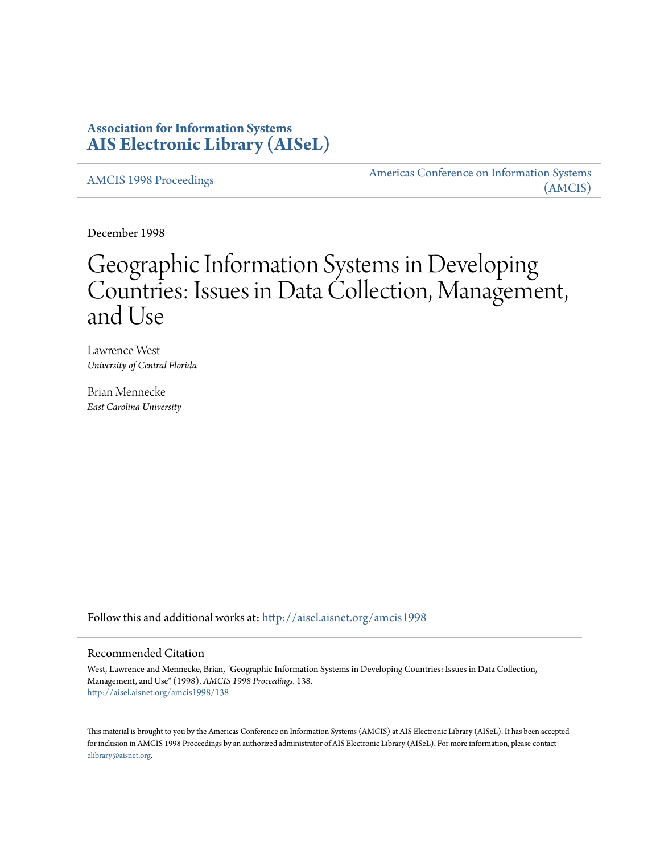## **Association for Information Systems [AIS Electronic Library \(AISeL\)](http://aisel.aisnet.org?utm_source=aisel.aisnet.org%2Famcis1998%2F138&utm_medium=PDF&utm_campaign=PDFCoverPages)**

[AMCIS 1998 Proceedings](http://aisel.aisnet.org/amcis1998?utm_source=aisel.aisnet.org%2Famcis1998%2F138&utm_medium=PDF&utm_campaign=PDFCoverPages)

[Americas Conference on Information Systems](http://aisel.aisnet.org/amcis?utm_source=aisel.aisnet.org%2Famcis1998%2F138&utm_medium=PDF&utm_campaign=PDFCoverPages) [\(AMCIS\)](http://aisel.aisnet.org/amcis?utm_source=aisel.aisnet.org%2Famcis1998%2F138&utm_medium=PDF&utm_campaign=PDFCoverPages)

December 1998

# Geographic Information Systems in Developing Countries: Issues in Data Collection, Management, and Use

Lawrence West *University of Central Florida*

Brian Mennecke *East Carolina University*

Follow this and additional works at: [http://aisel.aisnet.org/amcis1998](http://aisel.aisnet.org/amcis1998?utm_source=aisel.aisnet.org%2Famcis1998%2F138&utm_medium=PDF&utm_campaign=PDFCoverPages)

#### Recommended Citation

West, Lawrence and Mennecke, Brian, "Geographic Information Systems in Developing Countries: Issues in Data Collection, Management, and Use" (1998). *AMCIS 1998 Proceedings*. 138. [http://aisel.aisnet.org/amcis1998/138](http://aisel.aisnet.org/amcis1998/138?utm_source=aisel.aisnet.org%2Famcis1998%2F138&utm_medium=PDF&utm_campaign=PDFCoverPages)

This material is brought to you by the Americas Conference on Information Systems (AMCIS) at AIS Electronic Library (AISeL). It has been accepted for inclusion in AMCIS 1998 Proceedings by an authorized administrator of AIS Electronic Library (AISeL). For more information, please contact [elibrary@aisnet.org.](mailto:elibrary@aisnet.org%3E)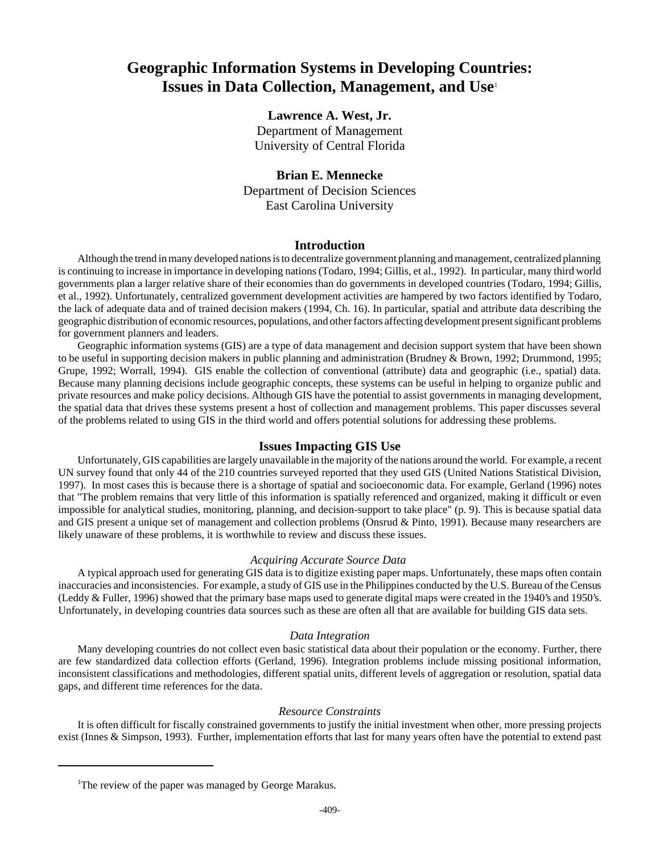## **Geographic Information Systems in Developing Countries: Issues in Data Collection, Management, and Use**<sup>1</sup>

### **Lawrence A. West, Jr.**

Department of Management University of Central Florida

#### **Brian E. Mennecke**

Department of Decision Sciences East Carolina University

#### **Introduction**

Although the trend in many developed nations is to decentralize government planning and management, centralized planning is continuing to increase in importance in developing nations (Todaro, 1994; Gillis, et al., 1992). In particular, many third world governments plan a larger relative share of their economies than do governments in developed countries (Todaro, 1994; Gillis, et al., 1992). Unfortunately, centralized government development activities are hampered by two factors identified by Todaro, the lack of adequate data and of trained decision makers (1994, Ch. 16). In particular, spatial and attribute data describing the geographic distribution of economic resources, populations, and other factors affecting development present significant problems for government planners and leaders.

Geographic information systems (GIS) are a type of data management and decision support system that have been shown to be useful in supporting decision makers in public planning and administration (Brudney & Brown, 1992; Drummond, 1995; Grupe, 1992; Worrall, 1994). GIS enable the collection of conventional (attribute) data and geographic (i.e., spatial) data. Because many planning decisions include geographic concepts, these systems can be useful in helping to organize public and private resources and make policy decisions. Although GIS have the potential to assist governments in managing development, the spatial data that drives these systems present a host of collection and management problems. This paper discusses several of the problems related to using GIS in the third world and offers potential solutions for addressing these problems.

#### **Issues Impacting GIS Use**

Unfortunately, GIS capabilities are largely unavailable in the majority of the nations around the world. For example, a recent UN survey found that only 44 of the 210 countries surveyed reported that they used GIS (United Nations Statistical Division, 1997). In most cases this is because there is a shortage of spatial and socioeconomic data. For example, Gerland (1996) notes that "The problem remains that very little of this information is spatially referenced and organized, making it difficult or even impossible for analytical studies, monitoring, planning, and decision-support to take place" (p. 9). This is because spatial data and GIS present a unique set of management and collection problems (Onsrud & Pinto, 1991). Because many researchers are likely unaware of these problems, it is worthwhile to review and discuss these issues.

#### *Acquiring Accurate Source Data*

A typical approach used for generating GIS data is to digitize existing paper maps. Unfortunately, these maps often contain inaccuracies and inconsistencies. For example, a study of GIS use in the Philippines conducted by the U.S. Bureau of the Census (Leddy & Fuller, 1996) showed that the primary base maps used to generate digital maps were created in the 1940's and 1950's. Unfortunately, in developing countries data sources such as these are often all that are available for building GIS data sets.

#### *Data Integration*

Many developing countries do not collect even basic statistical data about their population or the economy. Further, there are few standardized data collection efforts (Gerland, 1996). Integration problems include missing positional information, inconsistent classifications and methodologies, different spatial units, different levels of aggregation or resolution, spatial data gaps, and different time references for the data.

#### *Resource Constraints*

It is often difficult for fiscally constrained governments to justify the initial investment when other, more pressing projects exist (Innes & Simpson, 1993). Further, implementation efforts that last for many years often have the potential to extend past

<sup>&</sup>lt;sup>1</sup>The review of the paper was managed by George Marakus.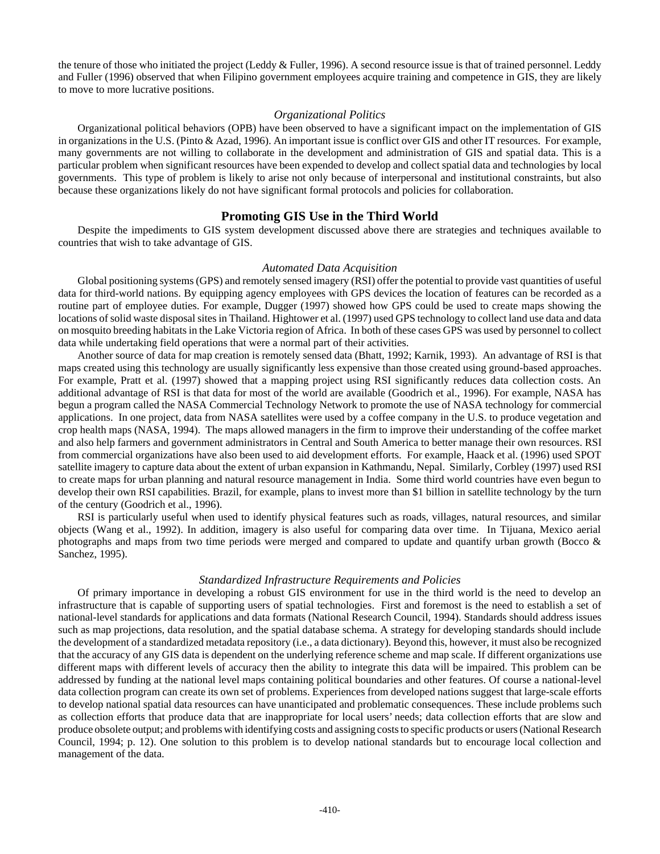the tenure of those who initiated the project (Leddy & Fuller, 1996). A second resource issue is that of trained personnel. Leddy and Fuller (1996) observed that when Filipino government employees acquire training and competence in GIS, they are likely to move to more lucrative positions.

#### *Organizational Politics*

Organizational political behaviors (OPB) have been observed to have a significant impact on the implementation of GIS in organizations in the U.S. (Pinto & Azad, 1996). An important issue is conflict over GIS and other IT resources. For example, many governments are not willing to collaborate in the development and administration of GIS and spatial data. This is a particular problem when significant resources have been expended to develop and collect spatial data and technologies by local governments. This type of problem is likely to arise not only because of interpersonal and institutional constraints, but also because these organizations likely do not have significant formal protocols and policies for collaboration.

#### **Promoting GIS Use in the Third World**

Despite the impediments to GIS system development discussed above there are strategies and techniques available to countries that wish to take advantage of GIS.

#### *Automated Data Acquisition*

Global positioning systems (GPS) and remotely sensed imagery (RSI) offer the potential to provide vast quantities of useful data for third-world nations. By equipping agency employees with GPS devices the location of features can be recorded as a routine part of employee duties. For example, Dugger (1997) showed how GPS could be used to create maps showing the locations of solid waste disposal sites in Thailand. Hightower et al. (1997) used GPS technology to collect land use data and data on mosquito breeding habitats in the Lake Victoria region of Africa. In both of these cases GPS was used by personnel to collect data while undertaking field operations that were a normal part of their activities.

Another source of data for map creation is remotely sensed data (Bhatt, 1992; Karnik, 1993). An advantage of RSI is that maps created using this technology are usually significantly less expensive than those created using ground-based approaches. For example, Pratt et al. (1997) showed that a mapping project using RSI significantly reduces data collection costs. An additional advantage of RSI is that data for most of the world are available (Goodrich et al., 1996). For example, NASA has begun a program called the NASA Commercial Technology Network to promote the use of NASA technology for commercial applications. In one project, data from NASA satellites were used by a coffee company in the U.S. to produce vegetation and crop health maps (NASA, 1994). The maps allowed managers in the firm to improve their understanding of the coffee market and also help farmers and government administrators in Central and South America to better manage their own resources. RSI from commercial organizations have also been used to aid development efforts. For example, Haack et al. (1996) used SPOT satellite imagery to capture data about the extent of urban expansion in Kathmandu, Nepal. Similarly, Corbley (1997) used RSI to create maps for urban planning and natural resource management in India. Some third world countries have even begun to develop their own RSI capabilities. Brazil, for example, plans to invest more than \$1 billion in satellite technology by the turn of the century (Goodrich et al., 1996).

RSI is particularly useful when used to identify physical features such as roads, villages, natural resources, and similar objects (Wang et al., 1992). In addition, imagery is also useful for comparing data over time. In Tijuana, Mexico aerial photographs and maps from two time periods were merged and compared to update and quantify urban growth (Bocco & Sanchez, 1995).

#### *Standardized Infrastructure Requirements and Policies*

Of primary importance in developing a robust GIS environment for use in the third world is the need to develop an infrastructure that is capable of supporting users of spatial technologies. First and foremost is the need to establish a set of national-level standards for applications and data formats (National Research Council, 1994). Standards should address issues such as map projections, data resolution, and the spatial database schema. A strategy for developing standards should include the development of a standardized metadata repository (i.e., a data dictionary). Beyond this, however, it must also be recognized that the accuracy of any GIS data is dependent on the underlying reference scheme and map scale. If different organizations use different maps with different levels of accuracy then the ability to integrate this data will be impaired. This problem can be addressed by funding at the national level maps containing political boundaries and other features. Of course a national-level data collection program can create its own set of problems. Experiences from developed nations suggest that large-scale efforts to develop national spatial data resources can have unanticipated and problematic consequences. These include problems such as collection efforts that produce data that are inappropriate for local users' needs; data collection efforts that are slow and produce obsolete output; and problems with identifying costs and assigning costs to specific products or users (National Research Council, 1994; p. 12). One solution to this problem is to develop national standards but to encourage local collection and management of the data.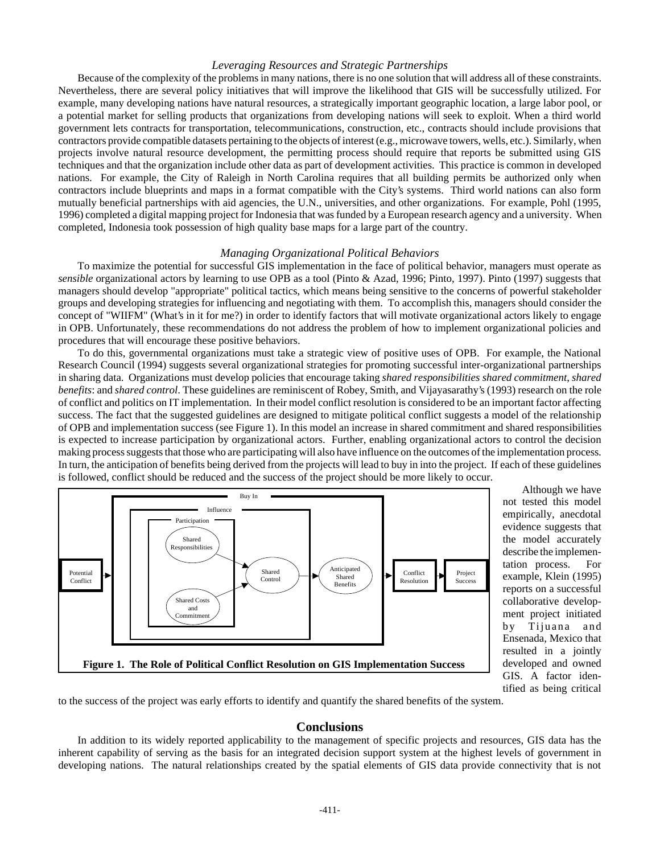#### *Leveraging Resources and Strategic Partnerships*

Because of the complexity of the problems in many nations, there is no one solution that will address all of these constraints. Nevertheless, there are several policy initiatives that will improve the likelihood that GIS will be successfully utilized. For example, many developing nations have natural resources, a strategically important geographic location, a large labor pool, or a potential market for selling products that organizations from developing nations will seek to exploit. When a third world government lets contracts for transportation, telecommunications, construction, etc., contracts should include provisions that contractors provide compatible datasets pertaining to the objects of interest (e.g., microwave towers, wells, etc.). Similarly, when projects involve natural resource development, the permitting process should require that reports be submitted using GIS techniques and that the organization include other data as part of development activities. This practice is common in developed nations. For example, the City of Raleigh in North Carolina requires that all building permits be authorized only when contractors include blueprints and maps in a format compatible with the City's systems. Third world nations can also form mutually beneficial partnerships with aid agencies, the U.N., universities, and other organizations. For example, Pohl (1995, 1996) completed a digital mapping project for Indonesia that was funded by a European research agency and a university. When completed, Indonesia took possession of high quality base maps for a large part of the country.

#### *Managing Organizational Political Behaviors*

To maximize the potential for successful GIS implementation in the face of political behavior, managers must operate as *sensible* organizational actors by learning to use OPB as a tool (Pinto & Azad, 1996; Pinto, 1997). Pinto (1997) suggests that managers should develop "appropriate" political tactics, which means being sensitive to the concerns of powerful stakeholder groups and developing strategies for influencing and negotiating with them. To accomplish this, managers should consider the concept of "WIIFM" (What's in it for me?) in order to identify factors that will motivate organizational actors likely to engage in OPB. Unfortunately, these recommendations do not address the problem of how to implement organizational policies and procedures that will encourage these positive behaviors.

To do this, governmental organizations must take a strategic view of positive uses of OPB. For example, the National Research Council (1994) suggests several organizational strategies for promoting successful inter-organizational partnerships in sharing data. Organizations must develop policies that encourage taking *shared responsibilities shared commitment*, *shared benefits*: and *shared control*. These guidelines are reminiscent of Robey, Smith, and Vijayasarathy's (1993) research on the role of conflict and politics on IT implementation. In their model conflict resolution is considered to be an important factor affecting success. The fact that the suggested guidelines are designed to mitigate political conflict suggests a model of the relationship of OPB and implementation success (see Figure 1). In this model an increase in shared commitment and shared responsibilities is expected to increase participation by organizational actors. Further, enabling organizational actors to control the decision making process suggests that those who are participating will also have influence on the outcomes of the implementation process. In turn, the anticipation of benefits being derived from the projects will lead to buy in into the project. If each of these guidelines is followed, conflict should be reduced and the success of the project should be more likely to occur.



Although we have not tested this model empirically, anecdotal evidence suggests that the model accurately describe the implementation process. For example, Klein (1995) reports on a successful collaborative development project initiated by Tijuana and Ensenada, Mexico that resulted in a jointly developed and owned GIS. A factor identified as being critical

to the success of the project was early efforts to identify and quantify the shared benefits of the system.

#### **Conclusions**

In addition to its widely reported applicability to the management of specific projects and resources, GIS data has the inherent capability of serving as the basis for an integrated decision support system at the highest levels of government in developing nations. The natural relationships created by the spatial elements of GIS data provide connectivity that is not